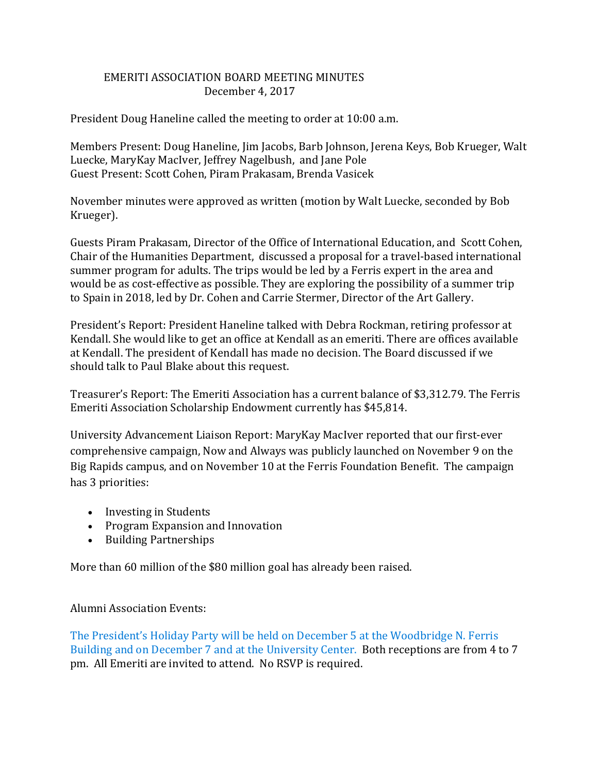## EMERITI ASSOCIATION BOARD MEETING MINUTES December 4, 2017

President Doug Haneline called the meeting to order at 10:00 a.m.

Members Present: Doug Haneline, Jim Jacobs, Barb Johnson, Jerena Keys, Bob Krueger, Walt Luecke, MaryKay MacIver, Jeffrey Nagelbush, and Jane Pole Guest Present: Scott Cohen, Piram Prakasam, Brenda Vasicek

November minutes were approved as written (motion by Walt Luecke, seconded by Bob Krueger).

Guests Piram Prakasam, Director of the Office of International Education, and Scott Cohen, Chair of the Humanities Department, discussed a proposal for a travel-based international summer program for adults. The trips would be led by a Ferris expert in the area and would be as cost-effective as possible. They are exploring the possibility of a summer trip to Spain in 2018, led by Dr. Cohen and Carrie Stermer, Director of the Art Gallery.

President's Report: President Haneline talked with Debra Rockman, retiring professor at Kendall. She would like to get an office at Kendall as an emeriti. There are offices available at Kendall. The president of Kendall has made no decision. The Board discussed if we should talk to Paul Blake about this request.

Treasurer's Report: The Emeriti Association has a current balance of \$3,312.79. The Ferris Emeriti Association Scholarship Endowment currently has \$45,814.

University Advancement Liaison Report: MaryKay MacIver reported that our first-ever comprehensive campaign, Now and Always was publicly launched on November 9 on the Big Rapids campus, and on November 10 at the Ferris Foundation Benefit. The campaign has 3 priorities:

- Investing in Students
- Program Expansion and Innovation
- Building Partnerships

More than 60 million of the \$80 million goal has already been raised.

## Alumni Association Events:

The President's Holiday Party will be held on December 5 at the Woodbridge N. Ferris Building and on December 7 and at the University Center. Both receptions are from 4 to 7 pm. All Emeriti are invited to attend. No RSVP is required.